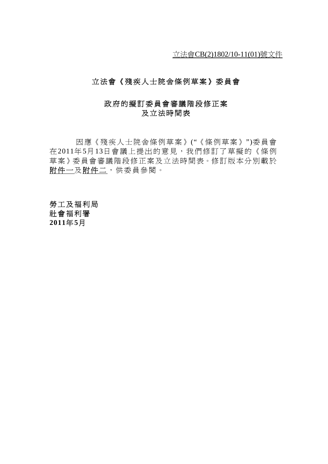# 立法會《殘疾人士院舍條例草案》委員會

# 政府的擬訂委員會審議階段修正案 及立法時間表

 因應《殘疾人士院舍條例草案》("《條例草案》")委員會 在2011年5月13日會議上提出的意見,我們修訂了草擬的《條例 草案》委員會審議階段修正案及立法時間表。修訂版本分別載於 附件一及附件二,供委員參閱。

勞工及福利局 社會福利署 **2011**年**5**月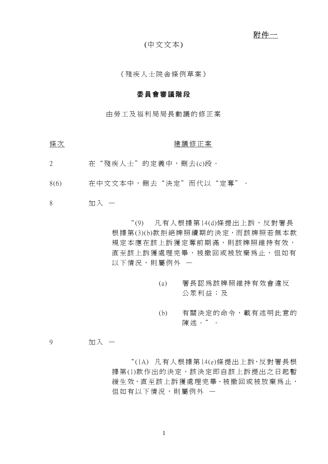附件一

(中文文本)

《殘疾人士院舍條例草案》

#### 委員會審議階段

由勞工及福利局局長動議的修正案

#### 條次 さいちょう おおおとこ アクセス 建議修正案

- 2 在"殘疾人士"的定義中,刪去(c)段。
- 8(6) 在中文文本中,刪去"決定"而代以"定奪"。
- 8 加入 一

 "(9) 凡有人根據第14(d)條提出上訴,反對署長 根據第(3)(b)款拒絕牌照續期的決定,而該牌照若無本款 規定本應在該上訴獲定奪前期滿,則該牌照維持有效, 直至該上訴獲處理完畢、被撤回或被放棄為止,但如有 以下情況,則屬例外 一

- (a) 署長認為該牌照維持有效會違反 公眾利益;及
- (b) 有關決定的命令,載有述明此意的 陳述。"。
- 9 加入 一

 " (1A) 凡 有 人 根 據 第 14(e)條 提 出 上 訴,反 對 署 長 根 據第(1)款作出的決定,該決定即自該上訴提出之日起暫 緩生效,直至該上訴獲處理完畢、被撤回或被放棄為止, 但如有以下情況,則屬例外 一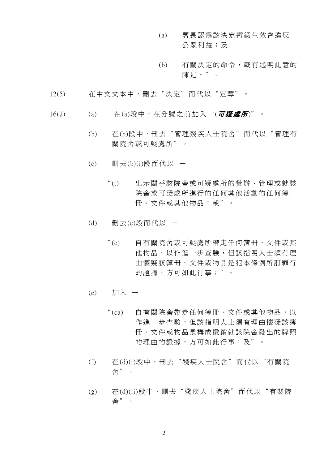- (a) 署長認為該決定暫緩生效會違反 公眾利益;及
- (b) 有關決定的命令,載有述明此意的 陳述。"。
- 12(5) 在中文文本中,刪去"決定"而代以"定奪"。
- 16(2) (a) 在(a)段中,在分號之前加入"(*可疑處所*)"。
	- (b) 在(b)段中,刪去"管理殘疾人士院舍"而代以"管理有 關院舍或可疑處所"。
	- (c) 刪去(b)(i)段而代以
		- "(i) 出示關乎該院舍或可疑處所的營辦、管理或就該 院舍或可疑處所進行的任何其他活動的任何簿 冊、文件或其他物品;或"。
	- (d) 刪去(c)段而代以
		- "(c) 自有關院舍或可疑處所帶走任何簿冊、文件或其 他物品,以作進一步查驗,但該指明人士須有理 由懷疑該簿冊、文件或物品是犯本條例所訂罪行 的證據,方可如此行事;"。
	- (e) 加入
		- "(ca) 自有關院舍帶走任何簿冊、文件或其他物品,以 作進一步查驗,但該指明人士須有理由懷疑該簿 冊、文件或物品是構成撤銷就該院舍發出的牌照 的理由的證據,方可如此行事;及"。
	- (f) 在(d)(i)段中,刪去"殘疾人士院舍"而代以"有關院 舍"。
	- (g) 在(d)(ii)段中,刪去"殘疾人士院舍"而代以"有關院 舍"。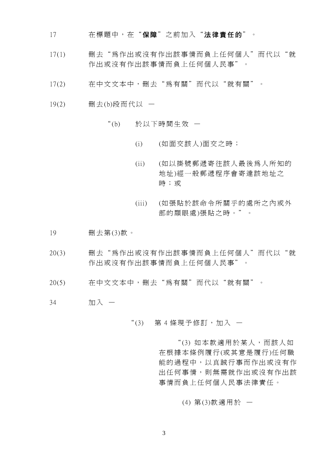#### 17 在標題中,在"保障"之前加入"法律責任的"。

- 17(1) 刪去"為作出或沒有 作出該事情而負上任何個人"而代以"就 作出或沒有作出該事情而負上任何個人民事"。
- 17(2) 在中文文本中,刪去 "為有關"而代以"就有關"。
- 19(2) 刪去(b)段而代以
	- "(b) 於以下時間生效
		- (i) (如面交該人)面交之時;
		- (ii) (如以掛號郵遞寄往該人最後為人所知的 地址)經一般郵遞程序會寄達該地址之 時;或
		- (iii) (如張貼於該命令所關乎的處所之內或外 部的顯眼處)張貼之時。"。
- 19 刪去第(3)款。
- 20(3) 刪去"為作出或沒有 作出該事情而負上任何個人"而代以"就 作出或沒有作出該事情而負上任何個人民事"。
- 20(5) 在中文文本中,刪去 "為有關"而代以"就有關"。
- 34 加入 一
- "(3) 第 4 條現予修訂,加入 —

 "(3) 如本款適用於某人,而該人如 在根據本條例履行(或其意是履行)任何職 能的過程中,以真誠行事而作出或沒有作 出任何事情,則無需就作出或沒有作出該 事情而負上任何個人民事法律責任。

(4) 第(3)款適用於 —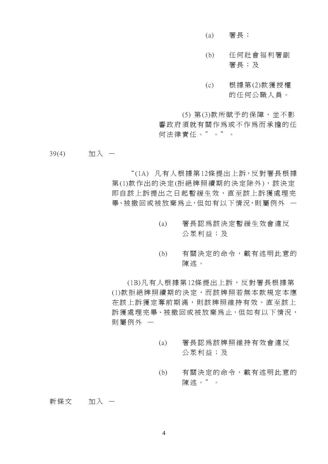- (a) 署長;
- (b) 任何社會福利署副 署長;及
- (c) 根據第(2)款獲授權 的任何公職人員。

(5) 第(3)款所賦予的保障,並不影 響政府須就有關作為或不作為而承擔的任 何法律責任。"。"。

39(4) 加入 一

 " (1A) 凡 有 人 根 據 第 12條 提 出 上 訴,反 對 署 長 根 據 第(1)款作出的決定(拒絕牌照續期的決定除外),該決定 即自該上訴提出之日起暫緩生效,直至該上訴獲處理完 畢、被 撤 回 或 被 放 棄 為 止,但 如 有 以 下 情 況,則 屬 例 外 —

- (a) 署長認為該決定暫緩生效會違反 公眾利益;及
- (b) 有關決定的命令,載有述明此意的 陳述。

 (1B) 凡 有 人 根 據 第 12條 提 出 上 訴 , 反 對 署 長 根 據 第 (1)款拒絕牌照續期的決定,而該牌照若無本款規定本應 在該上訴獲定奪前期滿,則該牌照維持有效,直至該上 訴 獲 處 理 完 畢、被 撤 回 或 被 放 棄 為 止,但 如 有 以 下 情 況, 則屬例外 —

- (a) 署長認為該牌照維持有效會違反 公眾利益;及
- (b) 有關決定的命令,載有述明此意的 陳述。"。

新條文 加入 —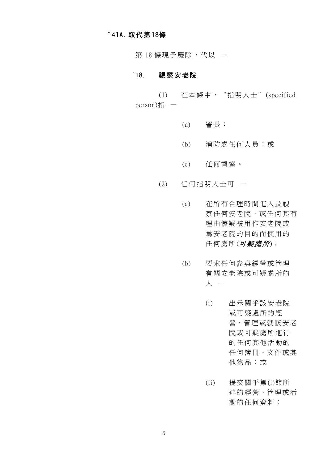#### "41A. 取代第18條

第 18 條現予廢除,代以 一

### "18. 視察安老院

(1) 在 本 條 中 , " 指 明 人 士 " (specified person)指 —

- (a) 署長;
- (b) 消防處任何人員;或
- (c) 任何督察。
- (2) 任 何 指 明 人 十 可 一
	- (a) 在所有合理時間進入及視 察任何安老院,或任何其有 理由懷疑被用作安老院或 為安老院的目的而使用的 任何處所(可疑處所);
	- (b) 要求任何參與經營或管理 有關安老院或可疑處所的  $\lambda -$ 
		- (i) 出示關乎該安老院 或可疑處所的經 營、管理或就該安老 院或可疑處所進行 的任何其他活動的 任何簿冊、文件或其 他物品;或
		- (ii) 提交關乎第(i)節所 述的經營、管理或活 動的任何資料;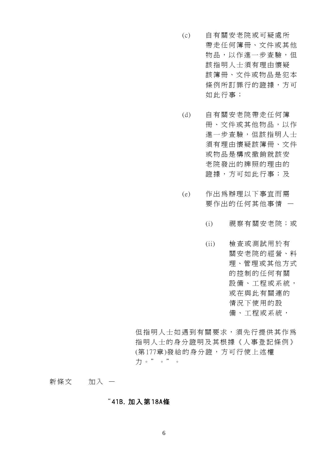- (c) 自有關安老院或可疑處所 帶走任何簿冊、文件或其他 物品,以作進一步查驗,但 該指明人士須有理由懷疑 該簿冊、文件或物品是犯本 條例所訂罪行的證據,方可 如此行事;
- (d) 自有關安老院帶走任何簿 冊、文件或其他物品,以作 進一步查驗,但該指明人士 須有理由懷疑該簿冊、文件 或物品是構成撤銷就該安 老院發出的牌照的理由的 證據,方可如此行事;及
- (e) 作出為辦理以下事宜而需 要作出的任何其他事情 —
	- (i) 視察有關安老院;或
	- (ii) 檢查或測試用於有 關安老院的經營、料 理、管理或其他方式 的控制的任何有關 設備、工程或系統, 或在與此有關連的 情況下使用的設 備、工程或系統,

 但指明人士如遇到有關要求,須先行提供其作為 指明人士的身分證明及其根據《人事登記條例》 (第177章)發給的身分證,方可行使上述權 力。"。"。

新條文 加入 —

### "41B. 加入第18A條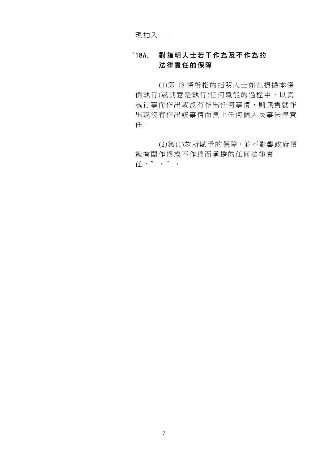現加入 —

# "18A. 對指明人士若干作為及不作為的 法律責任的保障

(1) 第 18 條 所 指 的 指 明 人 士 如 在 根 據 本 條 例執行(或其意是執行)任何職能的過程中,以真 誠行事而作出或沒有作出任何事情,則無需就作 出或沒有作出該事情而負上任何個人民事法律責 任。

(2) 第 (1)款 所 賦 予 的 保 障,並 不 影 響 政 府 須 就有關作為或不作為而承擔的任何法律責 任。"。"。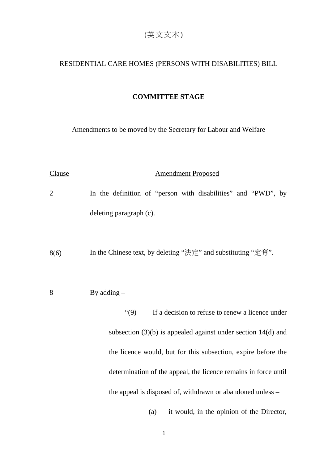# RESIDENTIAL CARE HOMES (PERSONS WITH DISABILITIES) BILL

### **COMMITTEE STAGE**

Amendments to be moved by the Secretary for Labour and Welfare

| Clause         | <b>Amendment Proposed</b>                                       |
|----------------|-----------------------------------------------------------------|
| $\overline{2}$ | In the definition of "person with disabilities" and "PWD", by   |
|                | deleting paragraph (c).                                         |
| 8(6)           | In the Chinese text, by deleting "決定" and substituting "定奪".    |
| 8              | By adding $-$                                                   |
|                | If a decision to refuse to renew a licence under<br>(9)         |
|                | subsection $(3)(b)$ is appealed against under section 14(d) and |
|                | the licence would, but for this subsection, expire before the   |
|                | determination of the appeal, the licence remains in force until |
|                | the appeal is disposed of, withdrawn or abandoned unless –      |
|                | it would, in the opinion of the Director,<br>(a)                |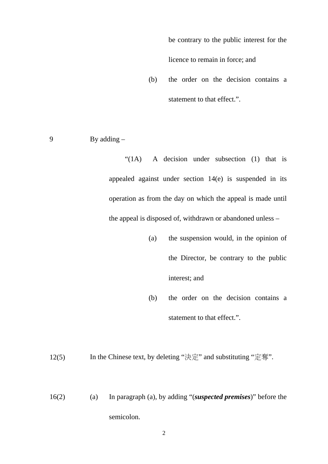be contrary to the public interest for the licence to remain in force; and

(b) the order on the decision contains a statement to that effect.".

9 By adding –

"(1A) A decision under subsection (1) that is appealed against under section 14(e) is suspended in its operation as from the day on which the appeal is made until the appeal is disposed of, withdrawn or abandoned unless –

- (a) the suspension would, in the opinion of the Director, be contrary to the public interest; and
- (b) the order on the decision contains a statement to that effect.".

12(5) In the Chinese text, by deleting "決定" and substituting "定奪".

16(2) (a) In paragraph (a), by adding "(*suspected premises*)" before the semicolon.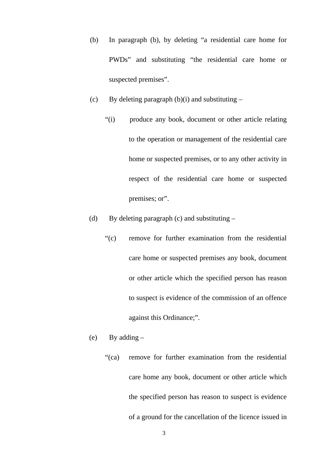- (b) In paragraph (b), by deleting "a residential care home for PWDs" and substituting "the residential care home or suspected premises".
- (c) By deleting paragraph  $(b)(i)$  and substituting
	- "(i) produce any book, document or other article relating to the operation or management of the residential care home or suspected premises, or to any other activity in respect of the residential care home or suspected premises; or".
- (d) By deleting paragraph (c) and substituting
	- "(c) remove for further examination from the residential care home or suspected premises any book, document or other article which the specified person has reason to suspect is evidence of the commission of an offence against this Ordinance;".
- (e) By adding  $-$ 
	- "(ca) remove for further examination from the residential care home any book, document or other article which the specified person has reason to suspect is evidence of a ground for the cancellation of the licence issued in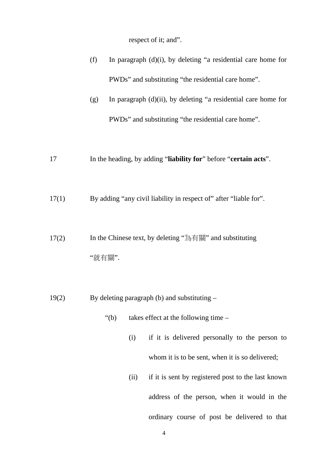respect of it; and".

|       | (f)    | In paragraph $(d)(i)$ , by deleting "a residential care home for |      |                                                                   |  |  |
|-------|--------|------------------------------------------------------------------|------|-------------------------------------------------------------------|--|--|
|       |        |                                                                  |      | PWDs" and substituting "the residential care home".               |  |  |
|       | (g)    |                                                                  |      | In paragraph $(d)(ii)$ , by deleting "a residential care home for |  |  |
|       |        |                                                                  |      | PWDs" and substituting "the residential care home".               |  |  |
|       |        |                                                                  |      |                                                                   |  |  |
| 17    |        |                                                                  |      | In the heading, by adding "liability for" before "certain acts".  |  |  |
|       |        |                                                                  |      |                                                                   |  |  |
| 17(1) |        |                                                                  |      | By adding "any civil liability in respect of" after "liable for". |  |  |
|       |        |                                                                  |      |                                                                   |  |  |
| 17(2) |        | In the Chinese text, by deleting "為有關" and substituting          |      |                                                                   |  |  |
|       | "就有關". |                                                                  |      |                                                                   |  |  |
|       |        |                                                                  |      |                                                                   |  |  |
| 19(2) |        | By deleting paragraph (b) and substituting                       |      |                                                                   |  |  |
|       |        | " $(b)$                                                          |      | takes effect at the following time -                              |  |  |
|       |        |                                                                  | (i)  | if it is delivered personally to the person to                    |  |  |
|       |        |                                                                  |      | whom it is to be sent, when it is so delivered;                   |  |  |
|       |        |                                                                  | (ii) | if it is sent by registered post to the last known                |  |  |
|       |        |                                                                  |      | address of the person, when it would in the                       |  |  |

ordinary course of post be delivered to that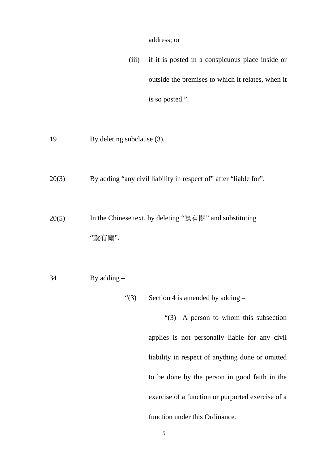#### address; or

- (iii) if it is posted in a conspicuous place inside or outside the premises to which it relates, when it is so posted.".
- 19 By deleting subclause (3).

20(3) By adding "any civil liability in respect of" after "liable for".

- 20(5) In the Chinese text, by deleting "為有關" and substituting "就有關".
- 34 By adding
	- "(3) Section 4 is amended by adding  $-$

"(3) A person to whom this subsection applies is not personally liable for any civil liability in respect of anything done or omitted to be done by the person in good faith in the exercise of a function or purported exercise of a function under this Ordinance.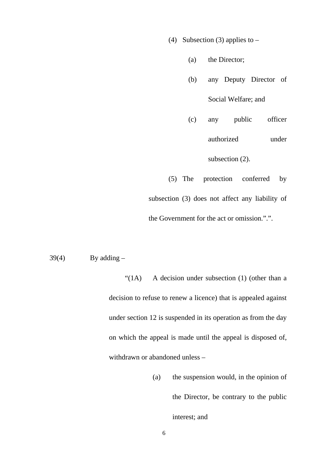(4) Subsection (3) applies to  $-$ 

- (a) the Director;
- (b) any Deputy Director of

Social Welfare; and

(c) any public officer authorized under

subsection  $(2)$ .

(5) The protection conferred by subsection (3) does not affect any liability of the Government for the act or omission.".".

# $39(4)$  By adding –

" $(1)$  A decision under subsection  $(1)$  (other than a decision to refuse to renew a licence) that is appealed against under section 12 is suspended in its operation as from the day on which the appeal is made until the appeal is disposed of, withdrawn or abandoned unless –

> (a) the suspension would, in the opinion of the Director, be contrary to the public interest; and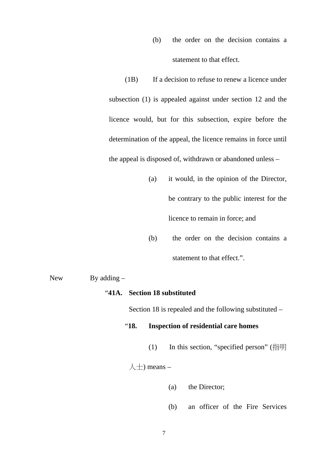(b) the order on the decision contains a statement to that effect.

(1B) If a decision to refuse to renew a licence under subsection (1) is appealed against under section 12 and the licence would, but for this subsection, expire before the determination of the appeal, the licence remains in force until the appeal is disposed of, withdrawn or abandoned unless –

- (a) it would, in the opinion of the Director, be contrary to the public interest for the licence to remain in force; and
- (b) the order on the decision contains a statement to that effect.".

# New By adding –

### "**41A. Section 18 substituted**

Section 18 is repealed and the following substituted –

### "**18. Inspection of residential care homes**

(1) In this section, "specified person" (指明

 $\lambda +$ ) means –

- (a) the Director;
- (b) an officer of the Fire Services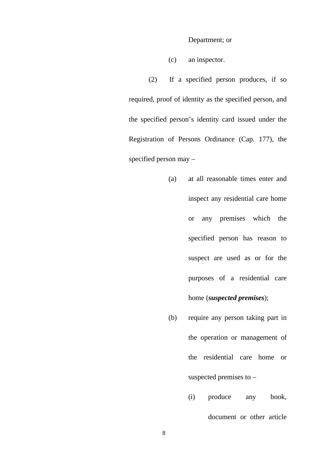#### Department; or

(c) an inspector.

(2) If a specified person produces, if so required, proof of identity as the specified person, and the specified person's identity card issued under the Registration of Persons Ordinance (Cap. 177), the specified person may –

- (a) at all reasonable times enter and inspect any residential care home or any premises which the specified person has reason to suspect are used as or for the purposes of a residential care home (*suspected premises*);
- (b) require any person taking part in the operation or management of the residential care home or suspected premises to –
	- (i) produce any book,

document or other article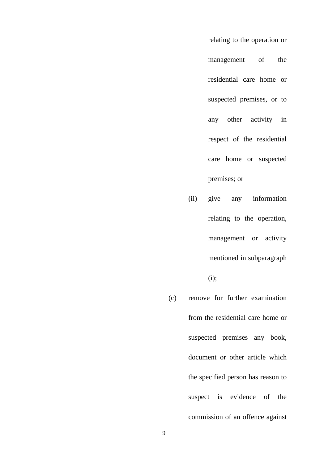relating to the operation or management of the residential care home or suspected premises, or to any other activity in respect of the residential care home or suspected premises; or

(ii) give any information relating to the operation, management or activity mentioned in subparagraph

(i);

(c) remove for further examination from the residential care home or suspected premises any book, document or other article which the specified person has reason to suspect is evidence of the commission of an offence against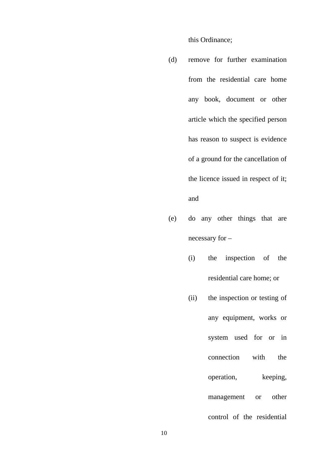this Ordinance;

- (d) remove for further examination from the residential care home any book, document or other article which the specified person has reason to suspect is evidence of a ground for the cancellation of the licence issued in respect of it; and
- (e) do any other things that are necessary for –
	- (i) the inspection of the residential care home; or
	- (ii) the inspection or testing of any equipment, works or system used for or in connection with the operation, keeping, management or other control of the residential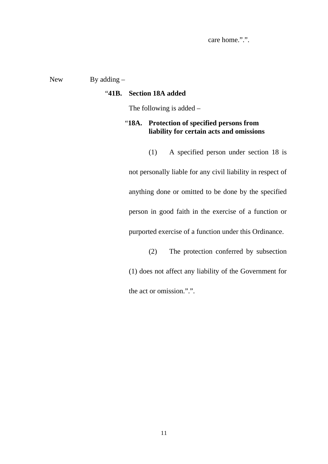care home.".".

## New By adding –

### "**41B. Section 18A added**

The following is added –

### "**18A. Protection of specified persons from liability for certain acts and omissions**

(1) A specified person under section 18 is not personally liable for any civil liability in respect of anything done or omitted to be done by the specified person in good faith in the exercise of a function or purported exercise of a function under this Ordinance.

(2) The protection conferred by subsection (1) does not affect any liability of the Government for the act or omission.".".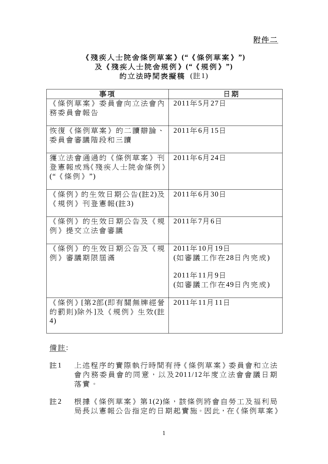附件二

# 《殘疾人士院舍條例草案》**("**《條例草案》**")**  及《殘疾人士院舍規例》**("**《規例》**")**  的立法時間表擬稿 (註1)

| 事項                                            | 日期                                                            |
|-----------------------------------------------|---------------------------------------------------------------|
| 《條例草案》委員會向立法會內<br>務委員會報告                      | 2011年5月27日                                                    |
| 恢復《條例草案》的二讀辯論、<br>委員會審議階段和三讀                  | 2011年6月15日                                                    |
| 獲立法會通過的《條例草案》刊<br>登憲報成爲《殘疾人士院舍條例》<br>("《條例》") | 2011年6月24日                                                    |
| 《條例》的生效日期公告(註2)及<br>《規例》刊登憲報(註3)              | 2011年6月30日                                                    |
| 《條例》的生效日期公告及《規<br>例》提交立法會審議                   | 2011年7月6日                                                     |
| 《條例》的生效日期公告及《規<br>例》審議期限屆滿                    | 2011年10月19日<br>(如審議工作在28日內完成)<br>2011年11月9日<br>(如審議工作在49日內完成) |
| 《條例》[第2部(即有關無牌經營<br>的罰則)除外]及《規例》生效(註<br>4)    | 2011年11月11日                                                   |

備註:

- 註1 上述程序的實際執行時間有待《條例草案》委員會和立法 會內務委員會的同意,以及 2011/12年度立法會會議日期 落實。
- 註2 根據《條例草案》第1(2)條,該條例將會自勞工及福利局 局長以憲報公告指定的日期起實施。因此, 在《條例草案》